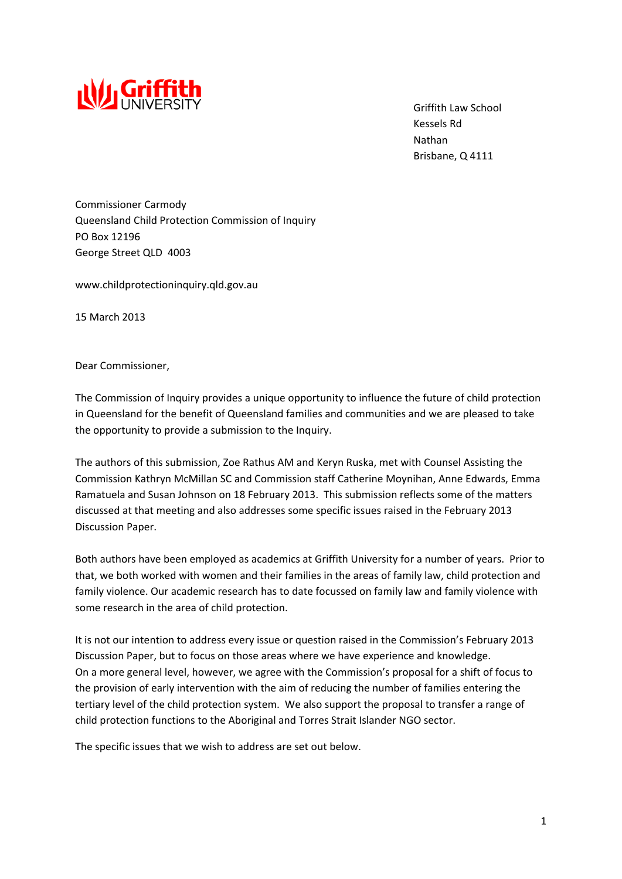

 Griffith Law School Kessels Rd Nathan Brisbane, Q 4111

Commissioner Carmody Queensland Child Protection Commission of Inquiry PO Box 12196 George Street QLD 4003

www.childprotectioninquiry.qld.gov.au

15 March 2013

Dear Commissioner,

The Commission of Inquiry provides a unique opportunity to influence the future of child protection in Queensland for the benefit of Queensland families and communities and we are pleased to take the opportunity to provide a submission to the Inquiry.

The authors of this submission, Zoe Rathus AM and Keryn Ruska, met with Counsel Assisting the Commission Kathryn McMillan SC and Commission staff Catherine Moynihan, Anne Edwards, Emma Ramatuela and Susan Johnson on 18 February 2013. This submission reflects some of the matters discussed at that meeting and also addresses some specific issues raised in the February 2013 Discussion Paper.

Both authors have been employed as academics at Griffith University for a number of years. Prior to that, we both worked with women and their families in the areas of family law, child protection and family violence. Our academic research has to date focussed on family law and family violence with some research in the area of child protection.

It is not our intention to address every issue or question raised in the Commission's February 2013 Discussion Paper, but to focus on those areas where we have experience and knowledge. On a more general level, however, we agree with the Commission's proposal for a shift of focus to the provision of early intervention with the aim of reducing the number of families entering the tertiary level of the child protection system. We also support the proposal to transfer a range of child protection functions to the Aboriginal and Torres Strait Islander NGO sector.

The specific issues that we wish to address are set out below.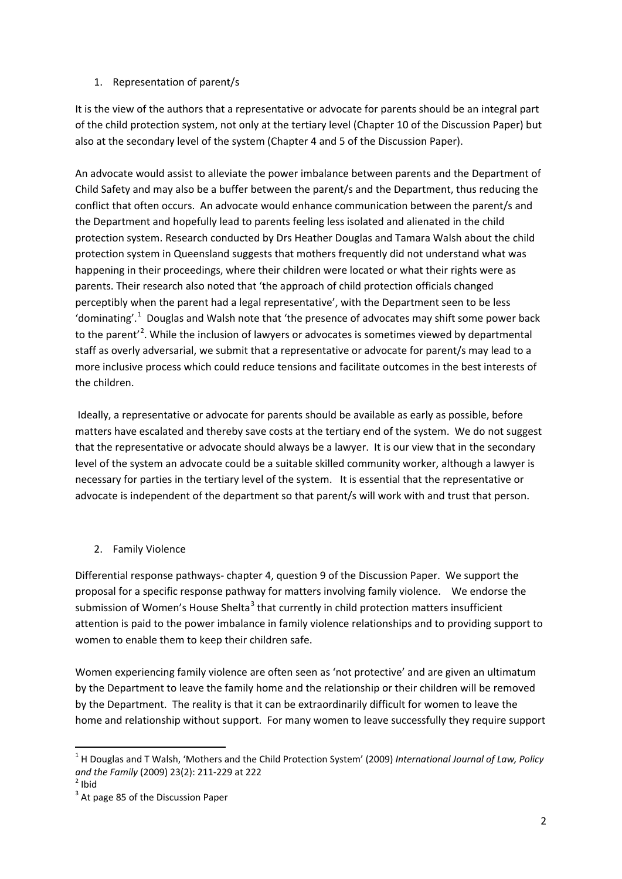## 1. Representation of parent/s

It is the view of the authors that a representative or advocate for parents should be an integral part of the child protection system, not only at the tertiary level (Chapter 10 of the Discussion Paper) but also at the secondary level of the system (Chapter 4 and 5 of the Discussion Paper).

An advocate would assist to alleviate the power imbalance between parents and the Department of Child Safety and may also be a buffer between the parent/s and the Department, thus reducing the conflict that often occurs. An advocate would enhance communication between the parent/s and the Department and hopefully lead to parents feeling less isolated and alienated in the child protection system. Research conducted by Drs Heather Douglas and Tamara Walsh about the child protection system in Queensland suggests that mothers frequently did not understand what was happening in their proceedings, where their children were located or what their rights were as parents. Their research also noted that 'the approach of child protection officials changed perceptibly when the parent had a legal representative', with the Department seen to be less 'dominating'.<sup>[1](#page-4-0)</sup> Douglas and Walsh note that 'the presence of advocates may shift some power back to the parent'<sup>[2](#page-1-0)</sup>. While the inclusion of lawyers or advocates is sometimes viewed by departmental staff as overly adversarial, we submit that a representative or advocate for parent/s may lead to a more inclusive process which could reduce tensions and facilitate outcomes in the best interests of the children.

Ideally, a representative or advocate for parents should be available as early as possible, before matters have escalated and thereby save costs at the tertiary end of the system. We do not suggest that the representative or advocate should always be a lawyer. It is our view that in the secondary level of the system an advocate could be a suitable skilled community worker, although a lawyer is necessary for parties in the tertiary level of the system. It is essential that the representative or advocate is independent of the department so that parent/s will work with and trust that person.

## 2. Family Violence

Differential response pathways‐ chapter 4, question 9 of the Discussion Paper. We support the proposal for a specific response pathway for matters involving family violence. We endorse the submission of Women's House Shelta<sup>[3](#page-1-1)</sup> that currently in child protection matters insufficient attention is paid to the power imbalance in family violence relationships and to providing support to women to enable them to keep their children safe.

Women experiencing family violence are often seen as 'not protective' and are given an ultimatum by the Department to leave the family home and the relationship or their children will be removed by the Department. The reality is that it can be extraordinarily difficult for women to leave the home and relationship without support. For many women to leave successfully they require support

<span id="page-1-2"></span>

<sup>1</sup> H Douglas and T Walsh, 'Mothers and the Child Protection System' (2009) *International Journal of Law, Policy* and *the Family* (2009) 23(2): 211-229 at 222<sup>2</sup> Ibid

<span id="page-1-0"></span>

<span id="page-1-1"></span><sup>&</sup>lt;sup>3</sup> At page 85 of the Discussion Paper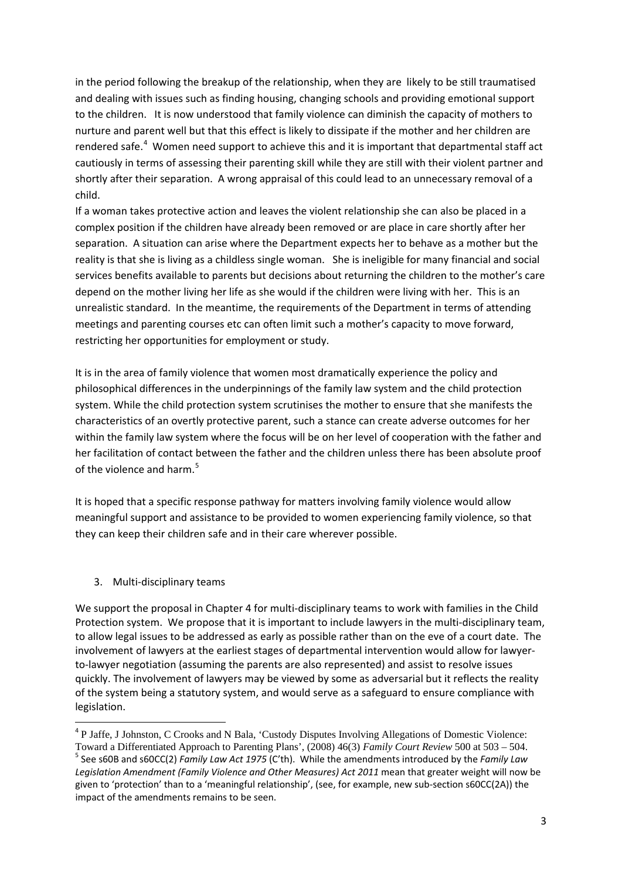in the period following the breakup of the relationship, when they are likely to be still traumatised and dealing with issues such as finding housing, changing schools and providing emotional support to the children. It is now understood that family violence can diminish the capacity of mothers to nurture and parent well but that this effect is likely to dissipate if the mother and her children are rendered safe.<sup>[4](#page-1-2)</sup> Women need support to achieve this and it is important that departmental staff act cautiously in terms of assessing their parenting skill while they are still with their violent partner and shortly after their separation. A wrong appraisal of this could lead to an unnecessary removal of a child.

If a woman takes protective action and leaves the violent relationship she can also be placed in a complex position if the children have already been removed or are place in care shortly after her separation. A situation can arise where the Department expects her to behave as a mother but the reality is that she is living as a childless single woman. She is ineligible for many financial and social services benefits available to parents but decisions about returning the children to the mother's care depend on the mother living her life as she would if the children were living with her. This is an unrealistic standard. In the meantime, the requirements of the Department in terms of attending meetings and parenting courses etc can often limit such a mother's capacity to move forward, restricting her opportunities for employment or study.

It is in the area of family violence that women most dramatically experience the policy and philosophical differences in the underpinnings of the family law system and the child protection system. While the child protection system scrutinises the mother to ensure that she manifests the characteristics of an overtly protective parent, such a stance can create adverse outcomes for her within the family law system where the focus will be on her level of cooperation with the father and her facilitation of contact between the father and the children unless there has been absolute proof of the violence and harm.<sup>[5](#page-2-0)</sup>

It is hoped that a specific response pathway for matters involving family violence would allow meaningful support and assistance to be provided to women experiencing family violence, so that they can keep their children safe and in their care wherever possible.

3. Multi‐disciplinary teams

We support the proposal in Chapter 4 for multi-disciplinary teams to work with families in the Child Protection system. We propose that it is important to include lawyers in the multi‐disciplinary team, to allow legal issues to be addressed as early as possible rather than on the eve of a court date. The involvement of lawyers at the earliest stages of departmental intervention would allow for lawyer‐ to-lawyer negotiation (assuming the parents are also represented) and assist to resolve issues quickly. The involvement of lawyers may be viewed by some as adversarial but it reflects the reality of the system being a statutory system, and would serve as a safeguard to ensure compliance with legislation.

<span id="page-2-1"></span><sup>&</sup>lt;sup>4</sup> P Jaffe, J Johnston, C Crooks and N Bala, 'Custody Disputes Involving Allegations of Domestic Violence: Toward a Differentiated Approach to Parenting Plans', (2008) 46(3) *Family Court Review* 500 at 503 – 504.

<span id="page-2-0"></span><sup>5</sup> See s60B and s60CC(2) *Family Law Act 1975* (C'th). While the amendments introduced by the *Family Law Legislation Amendment (Family Violence and Other Measures) Act 2011* mean that greater weight will now be given to 'protection' than to a 'meaningful relationship', (see, for example, new sub‐section s60CC(2A)) the impact of the amendments remains to be seen.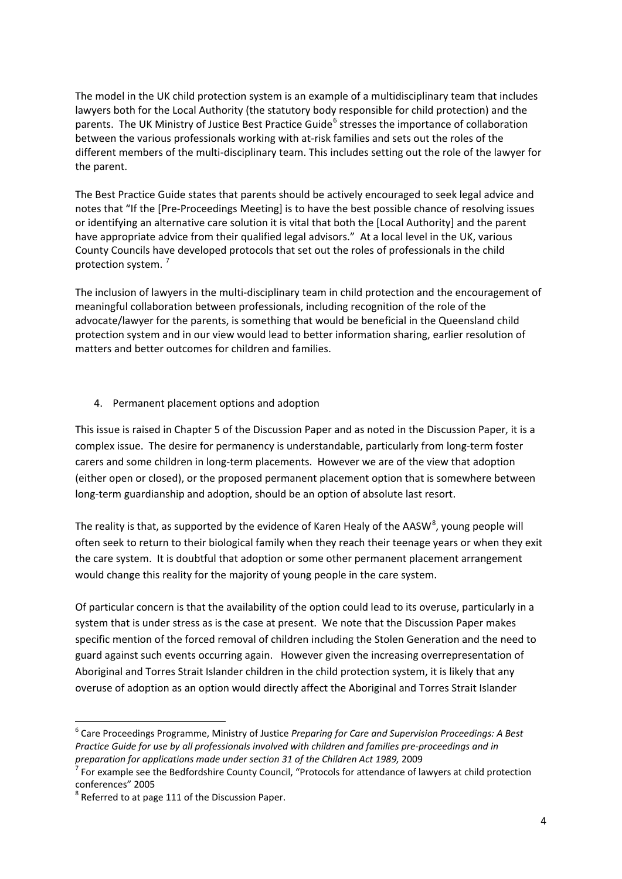The model in the UK child protection system is an example of a multidisciplinary team that includes lawyers both for the Local Authority (the statutory body responsible for child protection) and the parents. The UK Ministry of Justice Best Practice Guide<sup>[6](#page-2-1)</sup> stresses the importance of collaboration between the various professionals working with at‐risk families and sets out the roles of the different members of the multi‐disciplinary team. This includes setting out the role of the lawyer for the parent.

The Best Practice Guide states that parents should be actively encouraged to seek legal advice and notes that "If the [Pre‐Proceedings Meeting] is to have the best possible chance of resolving issues or identifying an alternative care solution it is vital that both the [Local Authority] and the parent have appropriate advice from their qualified legal advisors." At a local level in the UK, various County Councils have developed protocols that set out the roles of professionals in the child protection system.<sup>[7](#page-3-0)</sup>

The inclusion of lawyers in the multi‐disciplinary team in child protection and the encouragement of meaningful collaboration between professionals, including recognition of the role of the advocate/lawyer for the parents, is something that would be beneficial in the Queensland child protection system and in our view would lead to better information sharing, earlier resolution of matters and better outcomes for children and families.

## 4. Permanent placement options and adoption

This issue is raised in Chapter 5 of the Discussion Paper and as noted in the Discussion Paper, it is a complex issue. The desire for permanency is understandable, particularly from long-term foster carers and some children in long-term placements. However we are of the view that adoption (either open or closed), or the proposed permanent placement option that is somewhere between long-term guardianship and adoption, should be an option of absolute last resort.

The reality is that, as supported by the evidence of Karen Healy of the AASW<sup>[8](#page-3-1)</sup>, young people will often seek to return to their biological family when they reach their teenage years or when they exit the care system. It is doubtful that adoption or some other permanent placement arrangement would change this reality for the majority of young people in the care system.

Of particular concern is that the availability of the option could lead to its overuse, particularly in a system that is under stress as is the case at present. We note that the Discussion Paper makes specific mention of the forced removal of children including the Stolen Generation and the need to guard against such events occurring again. However given the increasing overrepresentation of Aboriginal and Torres Strait Islander children in the child protection system, it is likely that any overuse of adoption as an option would directly affect the Aboriginal and Torres Strait Islander

<sup>6</sup> Care Proceedings Programme, Ministry of Justice *Preparing for Care and Supervision Proceedings: A Best Practice Guide for use by all professionals involved with children and families pre‐proceedings and in* preparation for applications made under section 31 of the Children Act 1989, 2009<br><sup>7</sup> For example see the Bedfordshire County Council, "Protocols for attendance of lawyers at child protection

<span id="page-3-0"></span>conferences" 2005<br> $8$  Referred to at page 111 of the Discussion Paper.

<span id="page-3-1"></span>